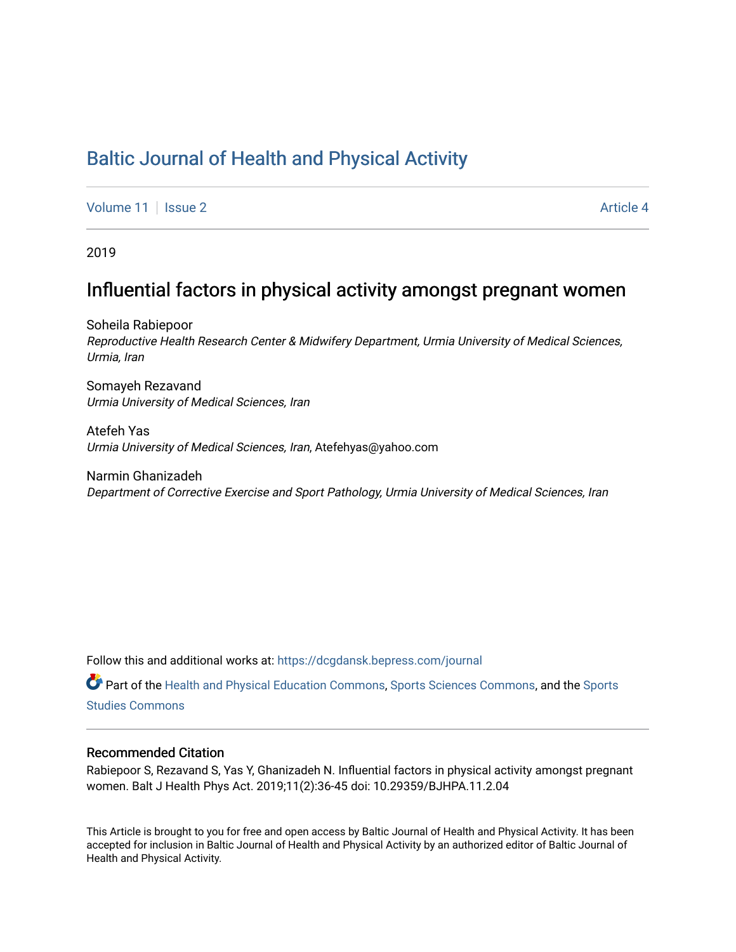# [Baltic Journal of Health and Physical Activity](https://dcgdansk.bepress.com/journal)

[Volume 11](https://dcgdansk.bepress.com/journal/vol11) | [Issue 2](https://dcgdansk.bepress.com/journal/vol11/iss2) Article 4

2019

# Influential factors in physical activity amongst pregnant women

Soheila Rabiepoor Reproductive Health Research Center & Midwifery Department, Urmia University of Medical Sciences, Urmia, Iran

Somayeh Rezavand Urmia University of Medical Sciences, Iran

Atefeh Yas Urmia University of Medical Sciences, Iran, Atefehyas@yahoo.com

Narmin Ghanizadeh Department of Corrective Exercise and Sport Pathology, Urmia University of Medical Sciences, Iran

Follow this and additional works at: [https://dcgdansk.bepress.com/journal](https://dcgdansk.bepress.com/journal?utm_source=dcgdansk.bepress.com%2Fjournal%2Fvol11%2Fiss2%2F4&utm_medium=PDF&utm_campaign=PDFCoverPages)

Part of the [Health and Physical Education Commons](http://network.bepress.com/hgg/discipline/1327?utm_source=dcgdansk.bepress.com%2Fjournal%2Fvol11%2Fiss2%2F4&utm_medium=PDF&utm_campaign=PDFCoverPages), [Sports Sciences Commons](http://network.bepress.com/hgg/discipline/759?utm_source=dcgdansk.bepress.com%2Fjournal%2Fvol11%2Fiss2%2F4&utm_medium=PDF&utm_campaign=PDFCoverPages), and the [Sports](http://network.bepress.com/hgg/discipline/1198?utm_source=dcgdansk.bepress.com%2Fjournal%2Fvol11%2Fiss2%2F4&utm_medium=PDF&utm_campaign=PDFCoverPages)  [Studies Commons](http://network.bepress.com/hgg/discipline/1198?utm_source=dcgdansk.bepress.com%2Fjournal%2Fvol11%2Fiss2%2F4&utm_medium=PDF&utm_campaign=PDFCoverPages) 

#### Recommended Citation

Rabiepoor S, Rezavand S, Yas Y, Ghanizadeh N. Influential factors in physical activity amongst pregnant women. Balt J Health Phys Act. 2019;11(2):36-45 doi: 10.29359/BJHPA.11.2.04

This Article is brought to you for free and open access by Baltic Journal of Health and Physical Activity. It has been accepted for inclusion in Baltic Journal of Health and Physical Activity by an authorized editor of Baltic Journal of Health and Physical Activity.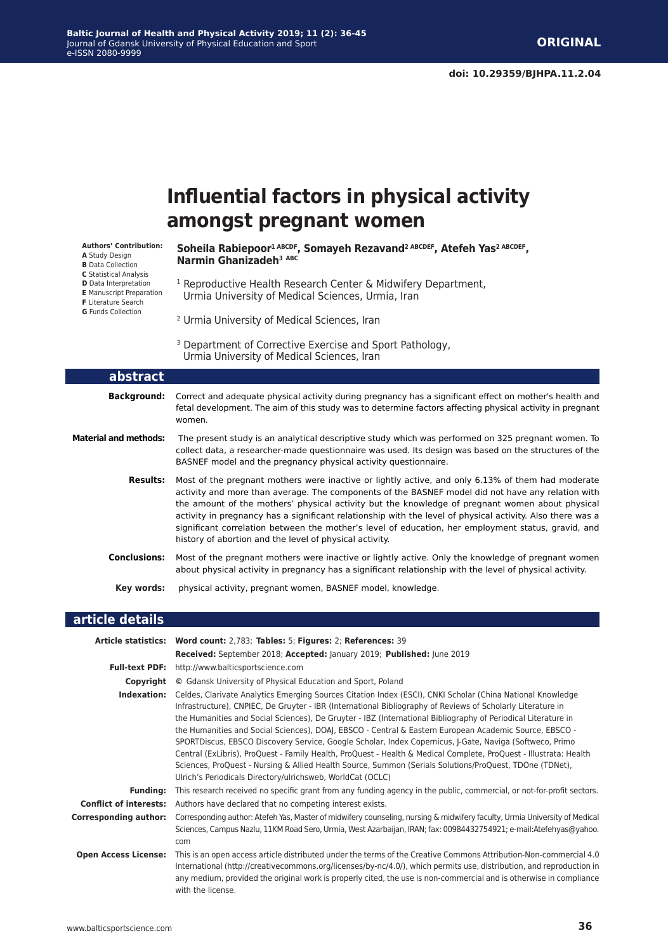#### **Baltic Journal of Health and Physical Activity 2019; 11 (2): 36-45** Journal of Gdansk University of Physical Education and Sport e-ISSN 2080-9999

# **Influential factors in physical activity amongst pregnant women**

**Authors' Contribution: A** Study Design **B** Data Collection **C** Statistical Analysis **D** Data Interpretation **E** Manuscript Preparation **F** Literature Search **G** Funds Collection

Soheila Rabiepoor<sup>1 ABCDF</sup>, Somayeh Rezavand<sup>2 ABCDEF</sup>, Atefeh Yas<sup>2 ABCDEF</sup>, **Narmin Ghanizadeh<sup>3</sup> ABC**

- <sup>1</sup> Reproductive Health Research Center & Midwifery Department, Urmia University of Medical Sciences, Urmia, Iran
- 2 Urmia University of Medical Sciences, Iran
- <sup>3</sup> Department of Corrective Exercise and Sport Pathology, Urmia University of Medical Sciences, Iran

| abstract                     |                                                                                                                                                                                                                                                                                                                                                                                                                                                                                                                                                                                           |
|------------------------------|-------------------------------------------------------------------------------------------------------------------------------------------------------------------------------------------------------------------------------------------------------------------------------------------------------------------------------------------------------------------------------------------------------------------------------------------------------------------------------------------------------------------------------------------------------------------------------------------|
| Background:                  | Correct and adequate physical activity during pregnancy has a significant effect on mother's health and<br>fetal development. The aim of this study was to determine factors affecting physical activity in pregnant<br>women.                                                                                                                                                                                                                                                                                                                                                            |
| <b>Material and methods:</b> | The present study is an analytical descriptive study which was performed on 325 pregnant women. To<br>collect data, a researcher-made questionnaire was used. Its design was based on the structures of the<br>BASNEF model and the pregnancy physical activity questionnaire.                                                                                                                                                                                                                                                                                                            |
| Results:                     | Most of the pregnant mothers were inactive or lightly active, and only 6.13% of them had moderate<br>activity and more than average. The components of the BASNEF model did not have any relation with<br>the amount of the mothers' physical activity but the knowledge of pregnant women about physical<br>activity in pregnancy has a significant relationship with the level of physical activity. Also there was a<br>significant correlation between the mother's level of education, her employment status, gravid, and<br>history of abortion and the level of physical activity. |
| <b>Conclusions:</b>          | Most of the pregnant mothers were inactive or lightly active. Only the knowledge of pregnant women<br>about physical activity in pregnancy has a significant relationship with the level of physical activity.                                                                                                                                                                                                                                                                                                                                                                            |
| Key words:                   | physical activity, pregnant women, BASNEF model, knowledge.                                                                                                                                                                                                                                                                                                                                                                                                                                                                                                                               |

#### **article details**

|                               | Article statistics: Word count: 2,783; Tables: 5; Figures: 2; References: 39                                                                                                                                                                                                                                                                                                                                                                                                                                                                                                                                                                                                                                                                                                                                                                                  |
|-------------------------------|---------------------------------------------------------------------------------------------------------------------------------------------------------------------------------------------------------------------------------------------------------------------------------------------------------------------------------------------------------------------------------------------------------------------------------------------------------------------------------------------------------------------------------------------------------------------------------------------------------------------------------------------------------------------------------------------------------------------------------------------------------------------------------------------------------------------------------------------------------------|
|                               | Received: September 2018; Accepted: January 2019; Published: June 2019                                                                                                                                                                                                                                                                                                                                                                                                                                                                                                                                                                                                                                                                                                                                                                                        |
|                               | <b>Full-text PDF:</b> http://www.balticsportscience.com                                                                                                                                                                                                                                                                                                                                                                                                                                                                                                                                                                                                                                                                                                                                                                                                       |
| Copyright                     | © Gdansk University of Physical Education and Sport, Poland                                                                                                                                                                                                                                                                                                                                                                                                                                                                                                                                                                                                                                                                                                                                                                                                   |
| Indexation:                   | Celdes, Clarivate Analytics Emerging Sources Citation Index (ESCI), CNKI Scholar (China National Knowledge<br>Infrastructure), CNPIEC, De Gruyter - IBR (International Bibliography of Reviews of Scholarly Literature in<br>the Humanities and Social Sciences), De Gruyter - IBZ (International Bibliography of Periodical Literature in<br>the Humanities and Social Sciences), DOAJ, EBSCO - Central & Eastern European Academic Source, EBSCO -<br>SPORTDiscus, EBSCO Discovery Service, Google Scholar, Index Copernicus, J-Gate, Naviga (Softweco, Primo<br>Central (ExLibris), ProQuest - Family Health, ProQuest - Health & Medical Complete, ProQuest - Illustrata: Health<br>Sciences, ProQuest - Nursing & Allied Health Source, Summon (Serials Solutions/ProQuest, TDOne (TDNet),<br>Ulrich's Periodicals Directory/ulrichsweb, WorldCat (OCLC) |
| <b>Funding:</b>               | This research received no specific grant from any funding agency in the public, commercial, or not-for-profit sectors.                                                                                                                                                                                                                                                                                                                                                                                                                                                                                                                                                                                                                                                                                                                                        |
| <b>Conflict of interests:</b> | Authors have declared that no competing interest exists.                                                                                                                                                                                                                                                                                                                                                                                                                                                                                                                                                                                                                                                                                                                                                                                                      |
| <b>Corresponding author:</b>  | Corresponding author: Atefeh Yas, Master of midwifery counseling, nursing & midwifery faculty, Urmia University of Medical<br>Sciences, Campus Nazlu, 11KM Road Sero, Urmia, West Azarbaijan, IRAN; fax: 00984432754921; e-mail:Atefehyas@yahoo.<br>com                                                                                                                                                                                                                                                                                                                                                                                                                                                                                                                                                                                                       |
| <b>Open Access License:</b>   | This is an open access article distributed under the terms of the Creative Commons Attribution-Non-commercial 4.0<br>International (http://creativecommons.org/licenses/by-nc/4.0/), which permits use, distribution, and reproduction in<br>any medium, provided the original work is properly cited, the use is non-commercial and is otherwise in compliance<br>with the license.                                                                                                                                                                                                                                                                                                                                                                                                                                                                          |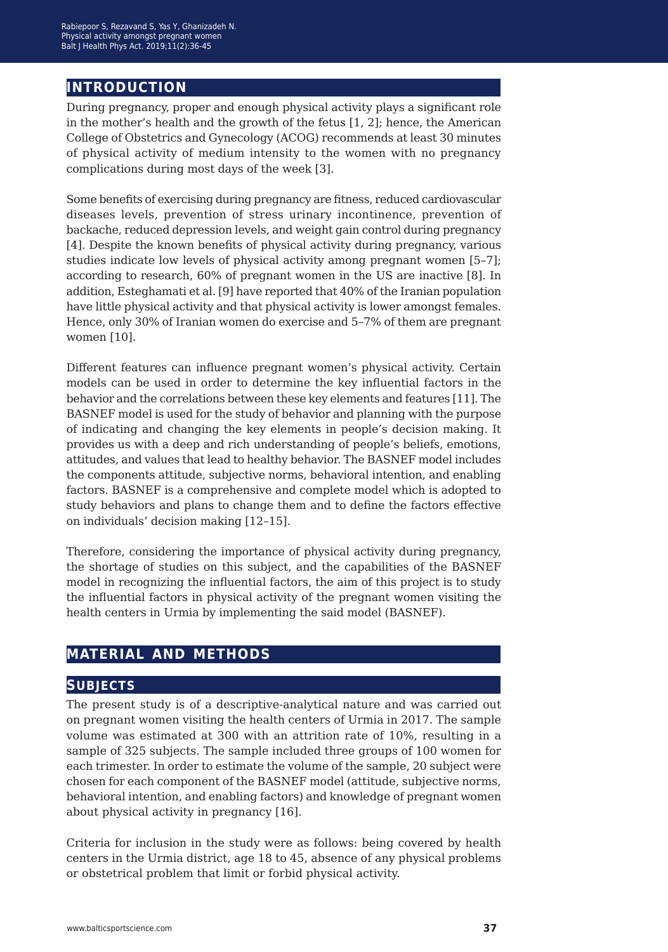### **introduction**

During pregnancy, proper and enough physical activity plays a significant role in the mother's health and the growth of the fetus [1, 2]; hence, the American College of Obstetrics and Gynecology (ACOG) recommends at least 30 minutes of physical activity of medium intensity to the women with no pregnancy complications during most days of the week [3].

Some benefits of exercising during pregnancy are fitness, reduced cardiovascular diseases levels, prevention of stress urinary incontinence, prevention of backache, reduced depression levels, and weight gain control during pregnancy [4]. Despite the known benefits of physical activity during pregnancy, various studies indicate low levels of physical activity among pregnant women [5–7]; according to research, 60% of pregnant women in the US are inactive [8]. In addition, Esteghamati et al. [9] have reported that 40% of the Iranian population have little physical activity and that physical activity is lower amongst females. Hence, only 30% of Iranian women do exercise and 5–7% of them are pregnant women [10].

Different features can influence pregnant women's physical activity. Certain models can be used in order to determine the key influential factors in the behavior and the correlations between these key elements and features [11]. The BASNEF model is used for the study of behavior and planning with the purpose of indicating and changing the key elements in people's decision making. It provides us with a deep and rich understanding of people's beliefs, emotions, attitudes, and values that lead to healthy behavior. The BASNEF model includes the components attitude, subjective norms, behavioral intention, and enabling factors. BASNEF is a comprehensive and complete model which is adopted to study behaviors and plans to change them and to define the factors effective on individuals' decision making [12–15].

Therefore, considering the importance of physical activity during pregnancy, the shortage of studies on this subject, and the capabilities of the BASNEF model in recognizing the influential factors, the aim of this project is to study the influential factors in physical activity of the pregnant women visiting the health centers in Urmia by implementing the said model (BASNEF).

### **material and methods**

### **subjects**

The present study is of a descriptive-analytical nature and was carried out on pregnant women visiting the health centers of Urmia in 2017. The sample volume was estimated at 300 with an attrition rate of 10%, resulting in a sample of 325 subjects. The sample included three groups of 100 women for each trimester. In order to estimate the volume of the sample, 20 subject were chosen for each component of the BASNEF model (attitude, subjective norms, behavioral intention, and enabling factors) and knowledge of pregnant women about physical activity in pregnancy [16].

Criteria for inclusion in the study were as follows: being covered by health centers in the Urmia district, age 18 to 45, absence of any physical problems or obstetrical problem that limit or forbid physical activity.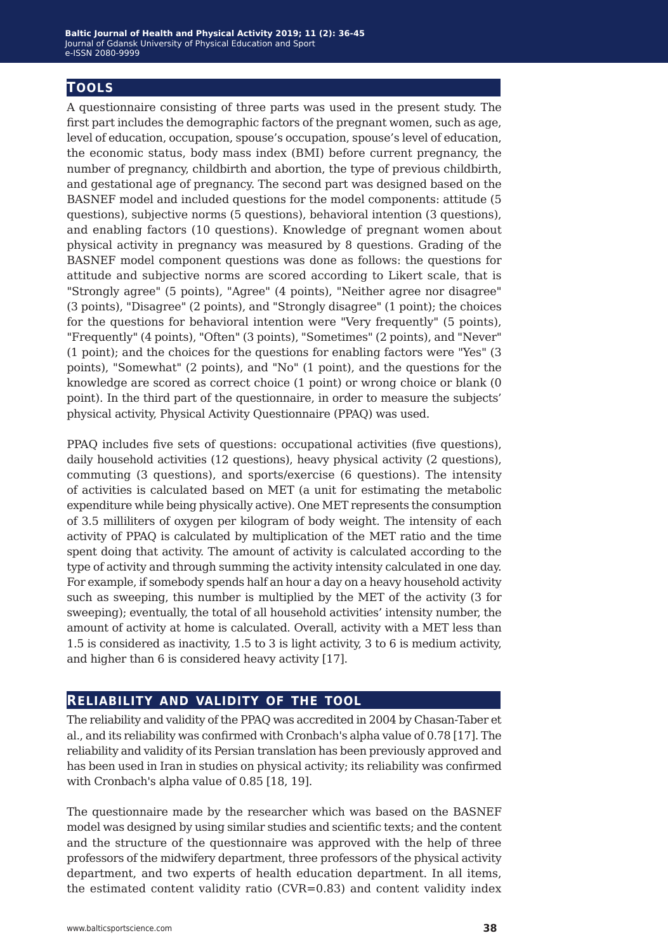### **tools**

A questionnaire consisting of three parts was used in the present study. The first part includes the demographic factors of the pregnant women, such as age, level of education, occupation, spouse's occupation, spouse's level of education, the economic status, body mass index (BMI) before current pregnancy, the number of pregnancy, childbirth and abortion, the type of previous childbirth, and gestational age of pregnancy. The second part was designed based on the BASNEF model and included questions for the model components: attitude (5 questions), subjective norms (5 questions), behavioral intention (3 questions), and enabling factors (10 questions). Knowledge of pregnant women about physical activity in pregnancy was measured by 8 questions. Grading of the BASNEF model component questions was done as follows: the questions for attitude and subjective norms are scored according to Likert scale, that is "Strongly agree" (5 points), "Agree" (4 points), "Neither agree nor disagree" (3 points), "Disagree" (2 points), and "Strongly disagree" (1 point); the choices for the questions for behavioral intention were "Very frequently" (5 points), "Frequently" (4 points), "Often" (3 points), "Sometimes" (2 points), and "Never" (1 point); and the choices for the questions for enabling factors were "Yes" (3 points), "Somewhat" (2 points), and "No" (1 point), and the questions for the knowledge are scored as correct choice (1 point) or wrong choice or blank (0 point). In the third part of the questionnaire, in order to measure the subjects' physical activity, Physical Activity Questionnaire (PPAQ) was used.

PPAQ includes five sets of questions: occupational activities (five questions), daily household activities (12 questions), heavy physical activity (2 questions), commuting (3 questions), and sports/exercise (6 questions). The intensity of activities is calculated based on MET (a unit for estimating the metabolic expenditure while being physically active). One MET represents the consumption of 3.5 milliliters of oxygen per kilogram of body weight. The intensity of each activity of PPAQ is calculated by multiplication of the MET ratio and the time spent doing that activity. The amount of activity is calculated according to the type of activity and through summing the activity intensity calculated in one day. For example, if somebody spends half an hour a day on a heavy household activity such as sweeping, this number is multiplied by the MET of the activity (3 for sweeping); eventually, the total of all household activities' intensity number, the amount of activity at home is calculated. Overall, activity with a MET less than 1.5 is considered as inactivity, 1.5 to 3 is light activity, 3 to 6 is medium activity, and higher than 6 is considered heavy activity [17].

#### **reliability and validity of the tool**

The reliability and validity of the PPAQ was accredited in 2004 by Chasan-Taber et al., and its reliability was confirmed with Cronbach's alpha value of 0.78 [17]. The reliability and validity of its Persian translation has been previously approved and has been used in Iran in studies on physical activity; its reliability was confirmed with Cronbach's alpha value of 0.85 [18, 19].

The questionnaire made by the researcher which was based on the BASNEF model was designed by using similar studies and scientific texts; and the content and the structure of the questionnaire was approved with the help of three professors of the midwifery department, three professors of the physical activity department, and two experts of health education department. In all items, the estimated content validity ratio (CVR=0.83) and content validity index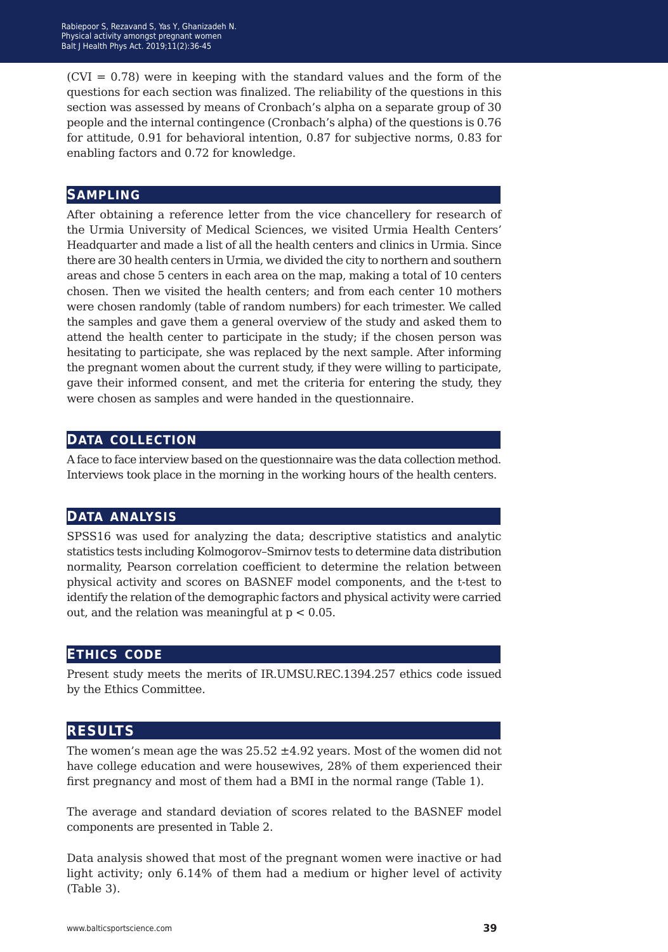$(CVI = 0.78)$  were in keeping with the standard values and the form of the questions for each section was finalized. The reliability of the questions in this section was assessed by means of Cronbach's alpha on a separate group of 30 people and the internal contingence (Cronbach's alpha) of the questions is 0.76 for attitude, 0.91 for behavioral intention, 0.87 for subjective norms, 0.83 for enabling factors and 0.72 for knowledge.

### **sampling**

After obtaining a reference letter from the vice chancellery for research of the Urmia University of Medical Sciences, we visited Urmia Health Centers' Headquarter and made a list of all the health centers and clinics in Urmia. Since there are 30 health centers in Urmia, we divided the city to northern and southern areas and chose 5 centers in each area on the map, making a total of 10 centers chosen. Then we visited the health centers; and from each center 10 mothers were chosen randomly (table of random numbers) for each trimester. We called the samples and gave them a general overview of the study and asked them to attend the health center to participate in the study; if the chosen person was hesitating to participate, she was replaced by the next sample. After informing the pregnant women about the current study, if they were willing to participate, gave their informed consent, and met the criteria for entering the study, they were chosen as samples and were handed in the questionnaire.

### **data collection**

A face to face interview based on the questionnaire was the data collection method. Interviews took place in the morning in the working hours of the health centers.

### **data analysis**

SPSS16 was used for analyzing the data; descriptive statistics and analytic statistics tests including Kolmogorov–Smirnov tests to determine data distribution normality, Pearson correlation coefficient to determine the relation between physical activity and scores on BASNEF model components, and the t-test to identify the relation of the demographic factors and physical activity were carried out, and the relation was meaningful at  $p < 0.05$ .

### **ethics code**

Present study meets the merits of IR.UMSU.REC.1394.257 ethics code issued by the Ethics Committee.

### **results**

The women's mean age the was  $25.52 \pm 4.92$  years. Most of the women did not have college education and were housewives, 28% of them experienced their first pregnancy and most of them had a BMI in the normal range (Table 1).

The average and standard deviation of scores related to the BASNEF model components are presented in Table 2.

Data analysis showed that most of the pregnant women were inactive or had light activity; only 6.14% of them had a medium or higher level of activity (Table 3).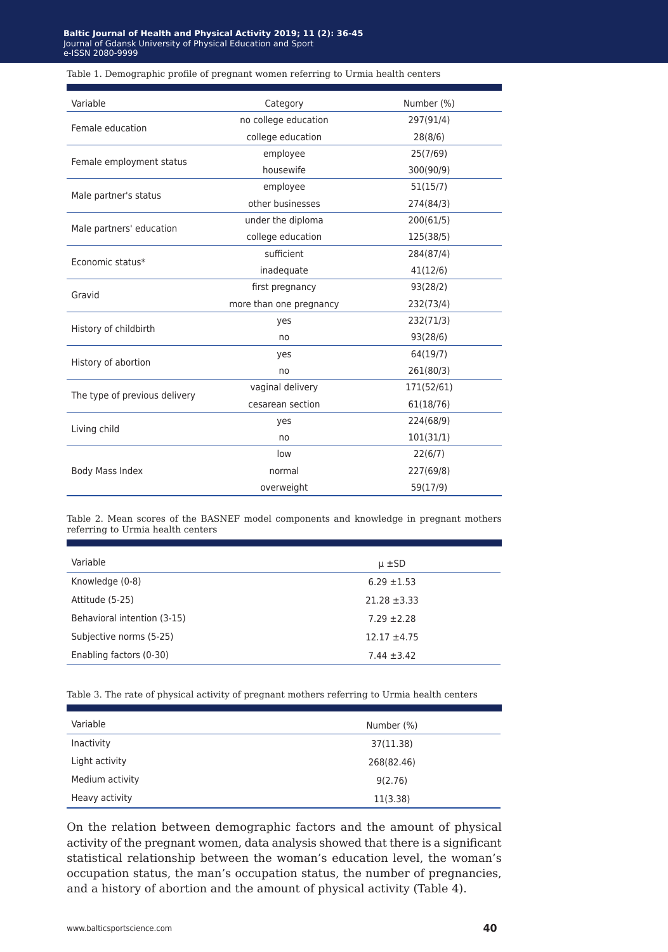#### **laltic Journal of Health and Physical Activity 2019; 11 (2): 36 Baltic Journal of Health and Physical Activity 2019; 11 (2): 36-45**<br>Journal of Gdansk University of Physical Education and Sport e-ISSN 2080-9999 e-ISSN 2080-9999Journal of Gdansk University of Physical Education and Sport

#### Table 1. Demographic profile of pregnant women referring to Urmia health centers

| Variable                      | Category                | Number (%) |
|-------------------------------|-------------------------|------------|
|                               | no college education    | 297(91/4)  |
| Female education              | college education       | 28(8/6)    |
|                               | employee                | 25(7/69)   |
| Female employment status      | housewife               | 300(90/9)  |
|                               | employee                | 51(15/7)   |
| Male partner's status         | other businesses        | 274(84/3)  |
| Male partners' education      | under the diploma       | 200(61/5)  |
|                               | college education       | 125(38/5)  |
| Economic status*              | sufficient              | 284(87/4)  |
|                               | inadequate              | 41(12/6)   |
| Gravid                        | first pregnancy         | 93(28/2)   |
|                               | more than one pregnancy | 232(73/4)  |
| History of childbirth         | yes                     | 232(71/3)  |
|                               | no                      | 93(28/6)   |
|                               | yes                     | 64(19/7)   |
| History of abortion           | no                      | 261(80/3)  |
| The type of previous delivery | vaginal delivery        | 171(52/61) |
|                               | cesarean section        | 61(18/76)  |
|                               | yes                     | 224(68/9)  |
| Living child                  | no                      | 101(31/1)  |
|                               | low                     | 22(6/7)    |
| Body Mass Index               | normal<br>227(69/8)     |            |
|                               | overweight              | 59(17/9)   |

Table 2. Mean scores of the BASNEF model components and knowledge in pregnant mothers referring to Urmia health centers

| Variable                    | $\mu \pm SD$     |
|-----------------------------|------------------|
| Knowledge (0-8)             | $6.29 \pm 1.53$  |
| Attitude (5-25)             | $21.28 \pm 3.33$ |
| Behavioral intention (3-15) | $7.29 \pm 2.28$  |
| Subjective norms (5-25)     | $12.17 \pm 4.75$ |
| Enabling factors (0-30)     | $7.44 \pm 3.42$  |

Table 3. The rate of physical activity of pregnant mothers referring to Urmia health centers

| Variable        | Number (%) |
|-----------------|------------|
| Inactivity      | 37(11.38)  |
| Light activity  | 268(82.46) |
| Medium activity | 9(2.76)    |
| Heavy activity  | 11(3.38)   |

On the relation between demographic factors and the amount of physical activity of the pregnant women, data analysis showed that there is a significant statistical relationship between the woman's education level, the woman's occupation status, the man's occupation status, the number of pregnancies, and a history of abortion and the amount of physical activity (Table 4).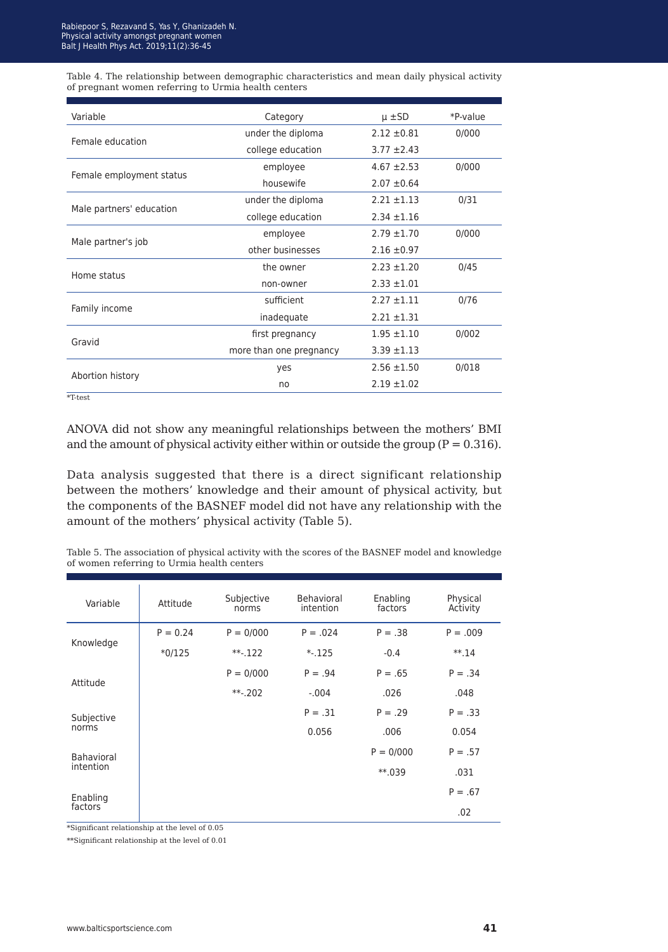Table 4. The relationship between demographic characteristics and mean daily physical activity of pregnant women referring to Urmia health centers

| Variable                 | Category                | $\mu \pm SD$    | *P-value |
|--------------------------|-------------------------|-----------------|----------|
| Female education         | under the diploma       | $2.12 \pm 0.81$ | 0/000    |
|                          | college education       | $3.77 \pm 2.43$ |          |
|                          | employee                | $4.67 \pm 2.53$ | 0/000    |
| Female employment status | housewife               | $2.07 \pm 0.64$ |          |
|                          | under the diploma       | $2.21 \pm 1.13$ | 0/31     |
| Male partners' education | college education       | $2.34 \pm 1.16$ |          |
|                          | employee                | $2.79 \pm 1.70$ | 0/000    |
| Male partner's job       | other businesses        | $2.16 \pm 0.97$ |          |
|                          | the owner               | $2.23 \pm 1.20$ | 0/45     |
| Home status              | non-owner               | $2.33 \pm 1.01$ |          |
|                          | sufficient              | $2.27 + 1.11$   | 0/76     |
| Family income            | inadequate              | $2.21 \pm 1.31$ |          |
| Gravid                   | first pregnancy         | $1.95 \pm 1.10$ | 0/002    |
|                          | more than one pregnancy | $3.39 + 1.13$   |          |
|                          | yes                     | $2.56 \pm 1.50$ | 0/018    |
| Abortion history         | no                      | $2.19 \pm 1.02$ |          |
| $*T-test$                |                         |                 |          |

ANOVA did not show any meaningful relationships between the mothers' BMI and the amount of physical activity either within or outside the group ( $P = 0.316$ ).

Data analysis suggested that there is a direct significant relationship between the mothers' knowledge and their amount of physical activity, but the components of the BASNEF model did not have any relationship with the amount of the mothers' physical activity (Table 5).

Table 5. The association of physical activity with the scores of the BASNEF model and knowledge of women referring to Urmia health centers

| Variable                | Attitude   | Subjective<br>norms | <b>Behavioral</b><br>intention | Enabling<br>factors | Physical<br>Activity |
|-------------------------|------------|---------------------|--------------------------------|---------------------|----------------------|
| Knowledge               | $P = 0.24$ | $P = 0/000$         | $P = .024$                     | $P = .38$           | $P = .009$           |
|                         | $*0/125$   | $***-122$           | $*.125$                        | $-0.4$              | $** .14$             |
| Attitude                |            | $P = 0/000$         | $P = .94$                      | $P = .65$           | $P = .34$            |
|                         |            | $***-0.202$         | $-.004$                        | .026                | .048                 |
| Subjective<br>norms     |            |                     | $P = .31$                      | $P = .29$           | $P = .33$            |
|                         |            |                     | 0.056                          | .006                | 0.054                |
| Bahavioral<br>intention |            |                     |                                | $P = 0/000$         | $P = .57$            |
|                         |            |                     |                                | $**.039$            | .031                 |
| Enabling<br>factors     |            |                     |                                |                     | $P = .67$            |
|                         |            |                     |                                |                     | .02                  |

\*Significant relationship at the level of 0.05

\*\*Significant relationship at the level of 0.01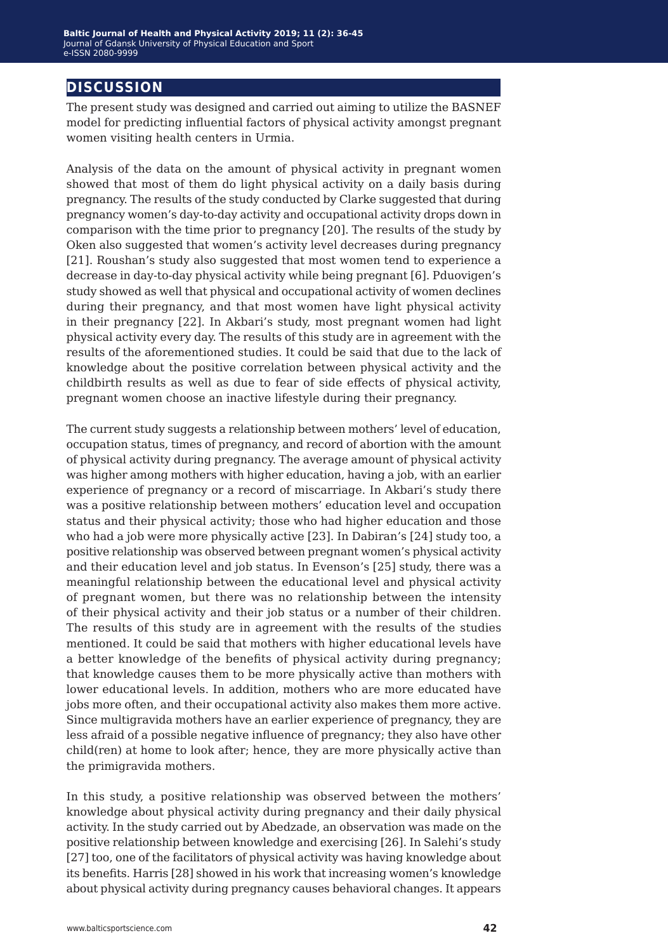### **discussion**

The present study was designed and carried out aiming to utilize the BASNEF model for predicting influential factors of physical activity amongst pregnant women visiting health centers in Urmia.

Analysis of the data on the amount of physical activity in pregnant women showed that most of them do light physical activity on a daily basis during pregnancy. The results of the study conducted by Clarke suggested that during pregnancy women's day-to-day activity and occupational activity drops down in comparison with the time prior to pregnancy [20]. The results of the study by Oken also suggested that women's activity level decreases during pregnancy [21]. Roushan's study also suggested that most women tend to experience a decrease in day-to-day physical activity while being pregnant [6]. Pduovigen's study showed as well that physical and occupational activity of women declines during their pregnancy, and that most women have light physical activity in their pregnancy [22]. In Akbari's study, most pregnant women had light physical activity every day. The results of this study are in agreement with the results of the aforementioned studies. It could be said that due to the lack of knowledge about the positive correlation between physical activity and the childbirth results as well as due to fear of side effects of physical activity, pregnant women choose an inactive lifestyle during their pregnancy.

The current study suggests a relationship between mothers' level of education, occupation status, times of pregnancy, and record of abortion with the amount of physical activity during pregnancy. The average amount of physical activity was higher among mothers with higher education, having a job, with an earlier experience of pregnancy or a record of miscarriage. In Akbari's study there was a positive relationship between mothers' education level and occupation status and their physical activity; those who had higher education and those who had a job were more physically active [23]. In Dabiran's [24] study too, a positive relationship was observed between pregnant women's physical activity and their education level and job status. In Evenson's [25] study, there was a meaningful relationship between the educational level and physical activity of pregnant women, but there was no relationship between the intensity of their physical activity and their job status or a number of their children. The results of this study are in agreement with the results of the studies mentioned. It could be said that mothers with higher educational levels have a better knowledge of the benefits of physical activity during pregnancy; that knowledge causes them to be more physically active than mothers with lower educational levels. In addition, mothers who are more educated have jobs more often, and their occupational activity also makes them more active. Since multigravida mothers have an earlier experience of pregnancy, they are less afraid of a possible negative influence of pregnancy; they also have other child(ren) at home to look after; hence, they are more physically active than the primigravida mothers.

In this study, a positive relationship was observed between the mothers' knowledge about physical activity during pregnancy and their daily physical activity. In the study carried out by Abedzade, an observation was made on the positive relationship between knowledge and exercising [26]. In Salehi's study [27] too, one of the facilitators of physical activity was having knowledge about its benefits. Harris [28] showed in his work that increasing women's knowledge about physical activity during pregnancy causes behavioral changes. It appears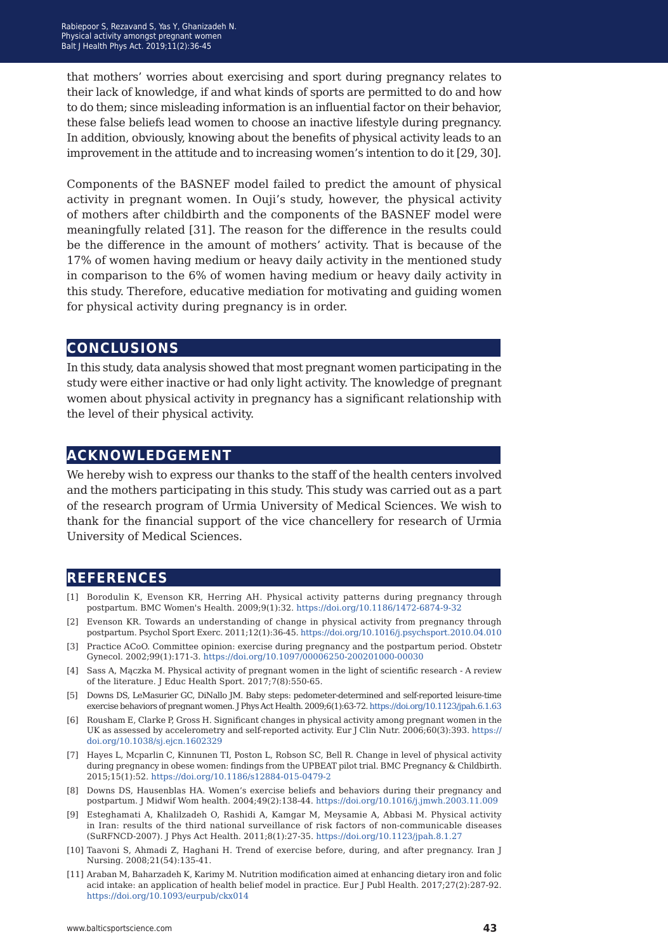that mothers' worries about exercising and sport during pregnancy relates to their lack of knowledge, if and what kinds of sports are permitted to do and how to do them; since misleading information is an influential factor on their behavior, these false beliefs lead women to choose an inactive lifestyle during pregnancy. In addition, obviously, knowing about the benefits of physical activity leads to an improvement in the attitude and to increasing women's intention to do it [29, 30].

Components of the BASNEF model failed to predict the amount of physical activity in pregnant women. In Ouji's study, however, the physical activity of mothers after childbirth and the components of the BASNEF model were meaningfully related [31]. The reason for the difference in the results could be the difference in the amount of mothers' activity. That is because of the 17% of women having medium or heavy daily activity in the mentioned study in comparison to the 6% of women having medium or heavy daily activity in this study. Therefore, educative mediation for motivating and guiding women for physical activity during pregnancy is in order.

### **conclusions**

In this study, data analysis showed that most pregnant women participating in the study were either inactive or had only light activity. The knowledge of pregnant women about physical activity in pregnancy has a significant relationship with the level of their physical activity.

### **acknowledgement**

We hereby wish to express our thanks to the staff of the health centers involved and the mothers participating in this study. This study was carried out as a part of the research program of Urmia University of Medical Sciences. We wish to thank for the financial support of the vice chancellery for research of Urmia University of Medical Sciences.

### **references**

- [1] Borodulin K, Evenson KR, Herring AH. Physical activity patterns during pregnancy through postpartum. BMC Women's Health. 2009;9(1):32. <https://doi.org/10.1186/1472-6874-9-32>
- [2] Evenson KR. Towards an understanding of change in physical activity from pregnancy through postpartum. Psychol Sport Exerc. 2011;12(1):36-45. <https://doi.org/10.1016/j.psychsport.2010.04.010>
- [3] Practice ACoO. Committee opinion: exercise during pregnancy and the postpartum period. Obstetr Gynecol. 2002;99(1):171-3. <https://doi.org/10.1097/00006250-200201000-00030>
- [4] Sass A, Mączka M. Physical activity of pregnant women in the light of scientific research A review of the literature. J Educ Health Sport. 2017;7(8):550-65.
- [5] Downs DS, LeMasurier GC, DiNallo JM. Baby steps: pedometer-determined and self-reported leisure-time exercise behaviors of pregnant women. J Phys Act Health. 2009;6(1):63-72. <https://doi.org/10.1123/jpah.6.1.63>
- [6] Rousham E, Clarke P, Gross H. Significant changes in physical activity among pregnant women in the UK as assessed by accelerometry and self-reported activity. Eur J Clin Nutr. 2006;60(3):393. [https://](https://doi.org/10.1038/sj.ejcn.1602329) [doi.org/10.1038/sj.ejcn.1602329](https://doi.org/10.1038/sj.ejcn.1602329)
- [7] Hayes L, Mcparlin C, Kinnunen TI, Poston L, Robson SC, Bell R. Change in level of physical activity during pregnancy in obese women: findings from the UPBEAT pilot trial. BMC Pregnancy & Childbirth. 2015;15(1):52.<https://doi.org/10.1186/s12884-015-0479-2>
- [8] Downs DS, Hausenblas HA. Women's exercise beliefs and behaviors during their pregnancy and postpartum. J Midwif Wom health. 2004;49(2):138-44. <https://doi.org/10.1016/j.jmwh.2003.11.009>
- [9] Esteghamati A, Khalilzadeh O, Rashidi A, Kamgar M, Meysamie A, Abbasi M. Physical activity in Iran: results of the third national surveillance of risk factors of non-communicable diseases (SuRFNCD-2007). J Phys Act Health. 2011;8(1):27-35.<https://doi.org/10.1123/jpah.8.1.27>
- [10] Taavoni S, Ahmadi Z, Haghani H. Trend of exercise before, during, and after pregnancy. Iran J Nursing. 2008;21(54):135-41.
- [11] Araban M, Baharzadeh K, Karimy M. Nutrition modification aimed at enhancing dietary iron and folic acid intake: an application of health belief model in practice. Eur J Publ Health. 2017;27(2):287-92. <https://doi.org/10.1093/eurpub/ckx014>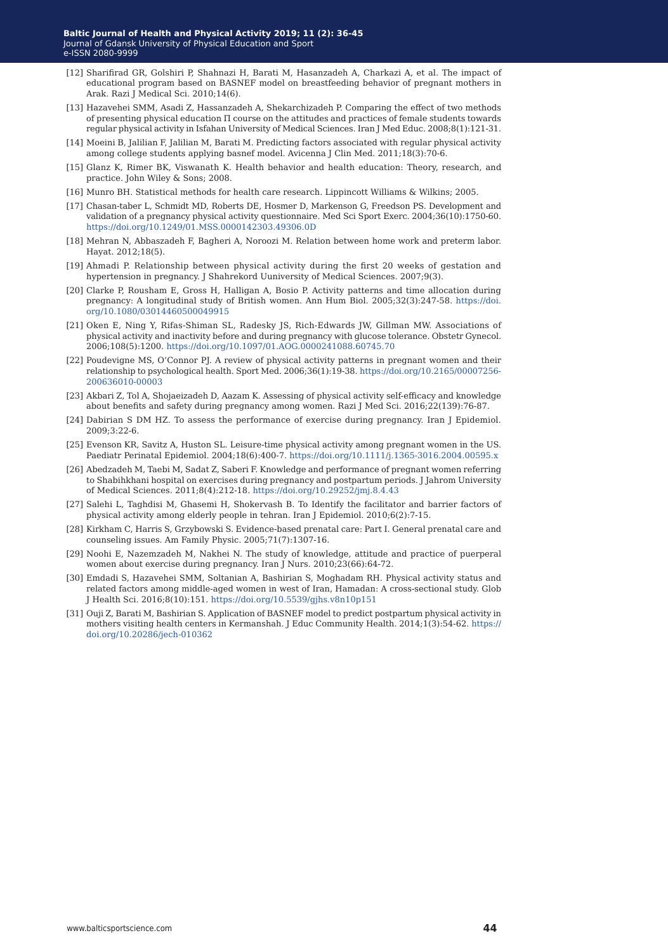- [12] Sharifirad GR, Golshiri P, Shahnazi H, Barati M, Hasanzadeh A, Charkazi A, et al. The impact of educational program based on BASNEF model on breastfeeding behavior of pregnant mothers in Arak. Razi J Medical Sci. 2010;14(6).
- [13] Hazavehei SMM, Asadi Z, Hassanzadeh A, Shekarchizadeh P. Comparing the effect of two methods of presenting physical education Π course on the attitudes and practices of female students towards regular physical activity in Isfahan University of Medical Sciences. Iran J Med Educ. 2008;8(1):121-31.
- [14] Moeini B, Jalilian F, Jalilian M, Barati M. Predicting factors associated with regular physical activity among college students applying basnef model. Avicenna J Clin Med. 2011;18(3):70-6.
- [15] Glanz K, Rimer BK, Viswanath K. Health behavior and health education: Theory, research, and practice. John Wiley & Sons; 2008.
- [16] Munro BH. Statistical methods for health care research. Lippincott Williams & Wilkins; 2005.
- [17] Chasan-taber L, Schmidt MD, Roberts DE, Hosmer D, Markenson G, Freedson PS. Development and validation of a pregnancy physical activity questionnaire. Med Sci Sport Exerc. 2004;36(10):1750-60. <https://doi.org/10.1249/01.MSS.0000142303.49306.0D>
- [18] Mehran N, Abbaszadeh F, Bagheri A, Noroozi M. Relation between home work and preterm labor. Hayat. 2012;18(5).
- [19] Ahmadi P. Relationship between physical activity during the first 20 weeks of gestation and hypertension in pregnancy. J Shahrekord Uuniversity of Medical Sciences. 2007;9(3).
- [20] Clarke P, Rousham E, Gross H, Halligan A, Bosio P. Activity patterns and time allocation during pregnancy: A longitudinal study of British women. Ann Hum Biol. 2005;32(3):247-58. [https://doi.](https://doi.org/10.1080/03014460500049915) [org/10.1080/03014460500049915](https://doi.org/10.1080/03014460500049915)
- [21] Oken E, Ning Y, Rifas-Shiman SL, Radesky JS, Rich-Edwards JW, Gillman MW. Associations of physical activity and inactivity before and during pregnancy with glucose tolerance. Obstetr Gynecol. 2006;108(5):1200.<https://doi.org/10.1097/01.AOG.0000241088.60745.70>
- [22] Poudevigne MS, O'Connor PJ. A review of physical activity patterns in pregnant women and their relationship to psychological health. Sport Med. 2006;36(1):19-38. [https://doi.org/10.2165/00007256-](https://doi.org/10.2165/00007256-200636010-00003) [200636010-00003](https://doi.org/10.2165/00007256-200636010-00003)
- [23] Akbari Z, Tol A, Shojaeizadeh D, Aazam K. Assessing of physical activity self-efficacy and knowledge about benefits and safety during pregnancy among women. Razi J Med Sci. 2016;22(139):76-87.
- [24] Dabirian S DM HZ. To assess the performance of exercise during pregnancy. Iran J Epidemiol. 2009;3:22-6.
- [25] Evenson KR, Savitz A, Huston SL. Leisure‐time physical activity among pregnant women in the US. Paediatr Perinatal Epidemiol. 2004;18(6):400-7. <https://doi.org/10.1111/j.1365-3016.2004.00595.x>
- [26] Abedzadeh M, Taebi M, Sadat Z, Saberi F. Knowledge and performance of pregnant women referring to Shabihkhani hospital on exercises during pregnancy and postpartum periods. J Jahrom University of Medical Sciences. 2011;8(4):212-18. <https://doi.org/10.29252/jmj.8.4.43>
- [27] Salehi L, Taghdisi M, Ghasemi H, Shokervash B. To Identify the facilitator and barrier factors of physical activity among elderly people in tehran. Iran J Epidemiol. 2010;6(2):7-15.
- [28] Kirkham C, Harris S, Grzybowski S. Evidence-based prenatal care: Part I. General prenatal care and counseling issues. Am Family Physic. 2005;71(7):1307-16.
- [29] Noohi E, Nazemzadeh M, Nakhei N. The study of knowledge, attitude and practice of puerperal women about exercise during pregnancy. Iran J Nurs. 2010;23(66):64-72.
- [30] Emdadi S, Hazavehei SMM, Soltanian A, Bashirian S, Moghadam RH. Physical activity status and related factors among middle-aged women in west of Iran, Hamadan: A cross-sectional study. Glob J Health Sci. 2016;8(10):151.<https://doi.org/10.5539/gjhs.v8n10p151>
- [31] Ouji Z, Barati M, Bashirian S. Application of BASNEF model to predict postpartum physical activity in mothers visiting health centers in Kermanshah. J Educ Community Health. 2014;1(3):54-62. [https://](https://doi.org/10.20286/jech-010362) [doi.org/10.20286/jech-010362](https://doi.org/10.20286/jech-010362)